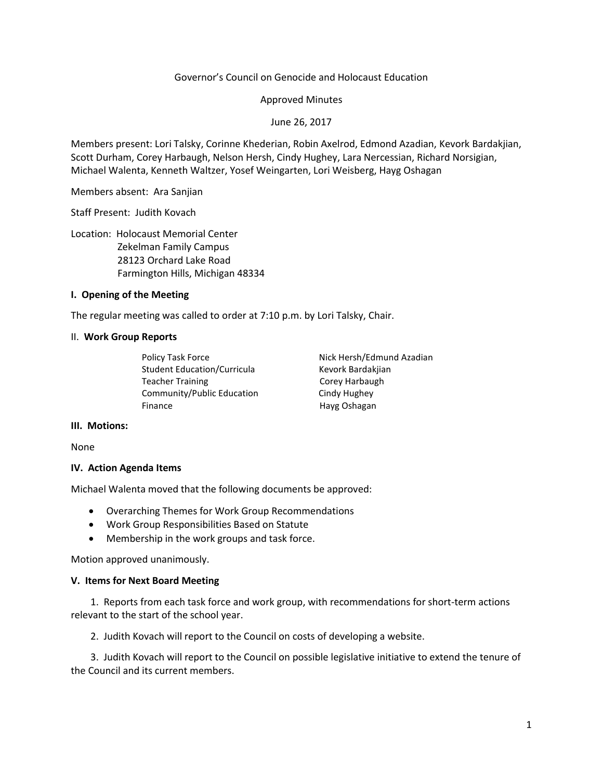## Governor's Council on Genocide and Holocaust Education

### Approved Minutes

### June 26, 2017

Members present: Lori Talsky, Corinne Khederian, Robin Axelrod, Edmond Azadian, Kevork Bardakjian, Scott Durham, Corey Harbaugh, Nelson Hersh, Cindy Hughey, Lara Nercessian, Richard Norsigian, Michael Walenta, Kenneth Waltzer, Yosef Weingarten, Lori Weisberg, Hayg Oshagan

Members absent: Ara Sanjian

Staff Present: Judith Kovach

Location: Holocaust Memorial Center Zekelman Family Campus 28123 Orchard Lake Road Farmington Hills, Michigan 48334

## **I. Opening of the Meeting**

The regular meeting was called to order at 7:10 p.m. by Lori Talsky, Chair.

### II. **Work Group Reports**

Policy Task Force The Nick Hersh/Edmund Azadian Student Education/Curricula Kevork Bardakjian Teacher Training **Teacher Training** Corey Harbaugh Community/Public Education Cindy Hughey Finance Hayg Oshagan

### **III. Motions:**

None

### **IV. Action Agenda Items**

Michael Walenta moved that the following documents be approved:

- Overarching Themes for Work Group Recommendations
- Work Group Responsibilities Based on Statute
- Membership in the work groups and task force.

Motion approved unanimously.

### **V. Items for Next Board Meeting**

 1. Reports from each task force and work group, with recommendations for short-term actions relevant to the start of the school year.

2. Judith Kovach will report to the Council on costs of developing a website.

 3. Judith Kovach will report to the Council on possible legislative initiative to extend the tenure of the Council and its current members.